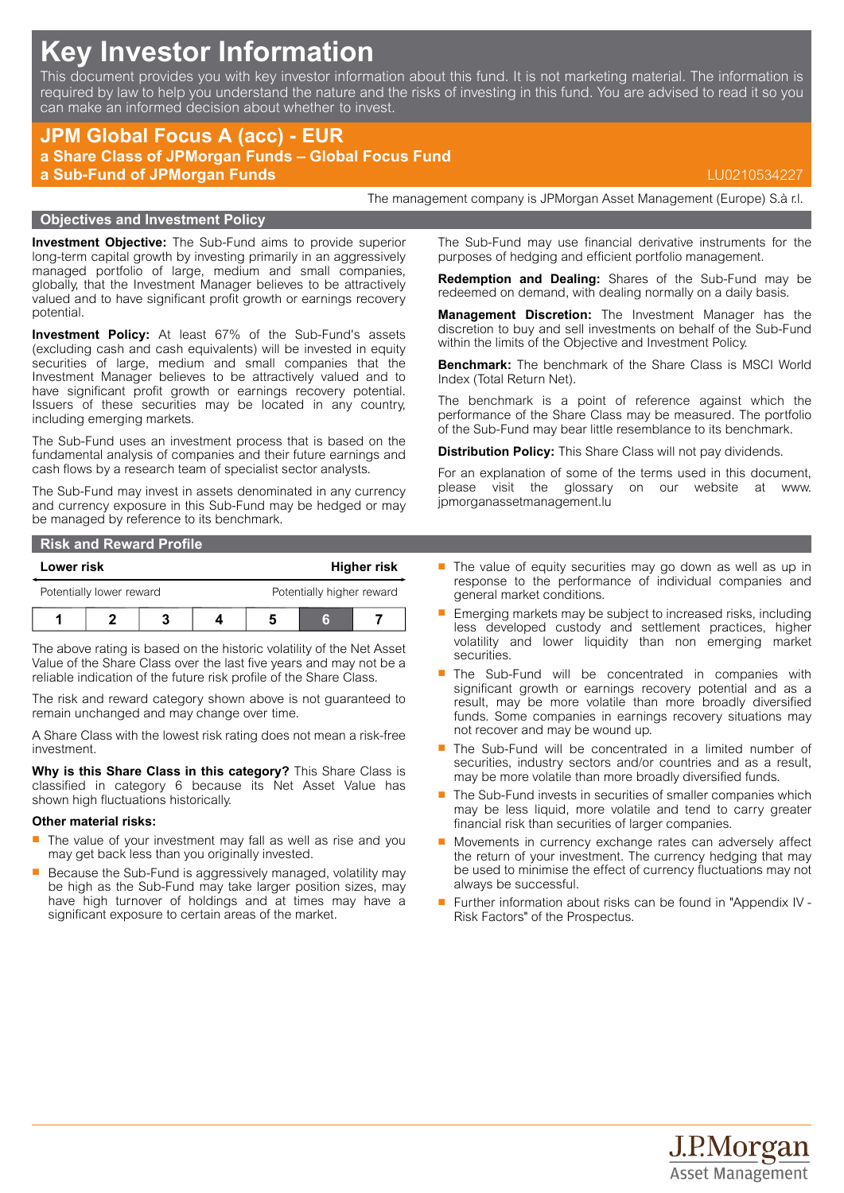# **Key Investor Information**

This document provides you with key investor information about this fund. It is not marketing material. The information is required by law to help you understand the nature and the risks of investing in this fund. You are advised to read it so you can make an informed decision about whether to invest.

# **JPM Global Focus A (acc) - EUR a Share Class of JPMorgan Funds – Global Focus Fund a Sub-Fund of JPMorgan Funds** LU0210534227

## **Objectives and Investment Policy**

**Investment Objective:** The Sub-Fund aims to provide superior long-term capital growth by investing primarily in an aggressively managed portfolio of large, medium and small companies, globally, that the Investment Manager believes to be attractively valued and to have significant profit growth or earnings recovery potential.

**Investment Policy:** At least 67% of the Sub-Fund's assets (excluding cash and cash equivalents) will be invested in equity securities of large, medium and small companies that the Investment Manager believes to be attractively valued and to have significant profit growth or earnings recovery potential. Issuers of these securities may be located in any country, including emerging markets.

The Sub-Fund uses an investment process that is based on the fundamental analysis of companies and their future earnings and cash flows by a research team of specialist sector analysts.

The Sub-Fund may invest in assets denominated in any currency and currency exposure in this Sub-Fund may be hedged or may be managed by reference to its benchmark.

#### **Risk and Reward Profile**

| Lower risk               |  |  |  |                           | <b>Higher risk</b> |  |
|--------------------------|--|--|--|---------------------------|--------------------|--|
| Potentially lower reward |  |  |  | Potentially higher reward |                    |  |
|                          |  |  |  |                           |                    |  |

The above rating is based on the historic volatility of the Net Asset Value of the Share Class over the last five years and may not be a reliable indication of the future risk profile of the Share Class.

The risk and reward category shown above is not guaranteed to remain unchanged and may change over time.

A Share Class with the lowest risk rating does not mean a risk-free investment.

**Why is this Share Class in this category?** This Share Class is classified in category 6 because its Net Asset Value has shown high fluctuations historically.

#### **Other material risks:**

- $\blacksquare$  The value of your investment may fall as well as rise and you may get back less than you originally invested.
- Because the Sub-Fund is aggressively managed, volatility may be high as the Sub-Fund may take larger position sizes, may have high turnover of holdings and at times may have a significant exposure to certain areas of the market.

The Sub-Fund may use financial derivative instruments for the purposes of hedging and efficient portfolio management.

The management company is JPMorgan Asset Management (Europe) S.à r.l.

**Redemption and Dealing:** Shares of the Sub-Fund may be redeemed on demand, with dealing normally on a daily basis.

**Management Discretion:** The Investment Manager has the discretion to buy and sell investments on behalf of the Sub-Fund within the limits of the Objective and Investment Policy.

**Benchmark:** The benchmark of the Share Class is MSCI World Index (Total Return Net).

The benchmark is a point of reference against which the performance of the Share Class may be measured. The portfolio of the Sub-Fund may bear little resemblance to its benchmark.

**Distribution Policy:** This Share Class will not pay dividends.

For an explanation of some of the terms used in this document, please visit the glossary on our website at [www.](www.jpmorganassetmanagement.lu) [jpmorganassetmanagement.lu](www.jpmorganassetmanagement.lu)

- $\blacksquare$  The value of equity securities may go down as well as up in response to the performance of individual companies and general market conditions.
- $\blacksquare$  Emerging markets may be subject to increased risks, including less developed custody and settlement practices, higher volatility and lower liquidity than non emerging market securities.
- The Sub-Fund will be concentrated in companies with significant growth or earnings recovery potential and as a result, may be more volatile than more broadly diversified funds. Some companies in earnings recovery situations may not recover and may be wound up.
- The Sub-Fund will be concentrated in a limited number of securities, industry sectors and/or countries and as a result, may be more volatile than more broadly diversified funds.
- $\blacksquare$  The Sub-Fund invests in securities of smaller companies which may be less liquid, more volatile and tend to carry greater financial risk than securities of larger companies.
- Movements in currency exchange rates can adversely affect the return of your investment. The currency hedging that may be used to minimise the effect of currency fluctuations may not always be successful.
- Further information about risks can be found in "Appendix IV -Risk Factors" of the Prospectus.